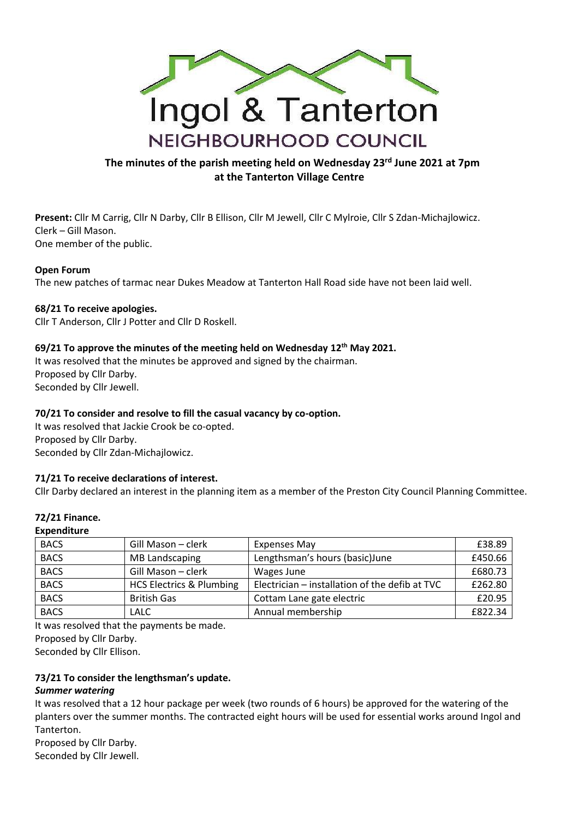

# **The minutes of the parish meeting held on Wednesday 23rd June 2021 at 7pm at the Tanterton Village Centre**

**Present:** Cllr M Carrig, Cllr N Darby, Cllr B Ellison, Cllr M Jewell, Cllr C Mylroie, Cllr S Zdan-Michajlowicz. Clerk – Gill Mason. One member of the public.

#### **Open Forum**

The new patches of tarmac near Dukes Meadow at Tanterton Hall Road side have not been laid well.

#### **68/21 To receive apologies.**

Cllr T Anderson, Cllr J Potter and Cllr D Roskell.

## **69/21 To approve the minutes of the meeting held on Wednesday 12th May 2021.**

It was resolved that the minutes be approved and signed by the chairman. Proposed by Cllr Darby. Seconded by Cllr Jewell.

## **70/21 To consider and resolve to fill the casual vacancy by co-option.**

It was resolved that Jackie Crook be co-opted. Proposed by Cllr Darby. Seconded by Cllr Zdan-Michajlowicz.

## **71/21 To receive declarations of interest.**

Cllr Darby declared an interest in the planning item as a member of the Preston City Council Planning Committee.

#### **72/21 Finance.**

#### **Expenditure**

| <b>BACS</b> | Gill Mason - clerk                  | <b>Expenses May</b>                            | £38.89  |
|-------------|-------------------------------------|------------------------------------------------|---------|
| <b>BACS</b> | MB Landscaping                      | Lengthsman's hours (basic) June                | £450.66 |
| <b>BACS</b> | Gill Mason - clerk                  | Wages June                                     | £680.73 |
| <b>BACS</b> | <b>HCS Electrics &amp; Plumbing</b> | Electrician - installation of the defib at TVC | £262.80 |
| <b>BACS</b> | <b>British Gas</b>                  | Cottam Lane gate electric                      | £20.95  |
| <b>BACS</b> | <b>LALC</b>                         | Annual membership                              | £822.34 |

It was resolved that the payments be made. Proposed by Cllr Darby.

Seconded by Cllr Ellison.

## **73/21 To consider the lengthsman's update.**

#### *Summer watering*

It was resolved that a 12 hour package per week (two rounds of 6 hours) be approved for the watering of the planters over the summer months. The contracted eight hours will be used for essential works around Ingol and Tanterton.

Proposed by Cllr Darby. Seconded by Cllr Jewell.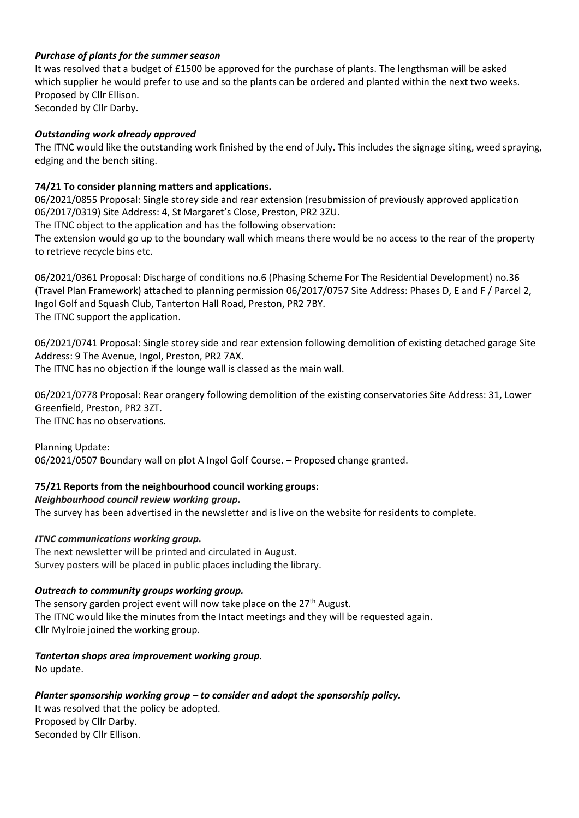## *Purchase of plants for the summer season*

It was resolved that a budget of £1500 be approved for the purchase of plants. The lengthsman will be asked which supplier he would prefer to use and so the plants can be ordered and planted within the next two weeks. Proposed by Cllr Ellison. Seconded by Cllr Darby.

## *Outstanding work already approved*

The ITNC would like the outstanding work finished by the end of July. This includes the signage siting, weed spraying, edging and the bench siting.

## **74/21 To consider planning matters and applications.**

06/2021/0855 Proposal: Single storey side and rear extension (resubmission of previously approved application 06/2017/0319) Site Address: 4, St Margaret's Close, Preston, PR2 3ZU.

The ITNC object to the application and has the following observation:

The extension would go up to the boundary wall which means there would be no access to the rear of the property to retrieve recycle bins etc.

06/2021/0361 Proposal: Discharge of conditions no.6 (Phasing Scheme For The Residential Development) no.36 (Travel Plan Framework) attached to planning permission 06/2017/0757 Site Address: Phases D, E and F / Parcel 2, Ingol Golf and Squash Club, Tanterton Hall Road, Preston, PR2 7BY. The ITNC support the application.

06/2021/0741 Proposal: Single storey side and rear extension following demolition of existing detached garage Site Address: 9 The Avenue, Ingol, Preston, PR2 7AX.

The ITNC has no objection if the lounge wall is classed as the main wall.

06/2021/0778 Proposal: Rear orangery following demolition of the existing conservatories Site Address: 31, Lower Greenfield, Preston, PR2 3ZT. The ITNC has no observations.

Planning Update:

06/2021/0507 Boundary wall on plot A Ingol Golf Course. – Proposed change granted.

# **75/21 Reports from the neighbourhood council working groups:**

## *Neighbourhood council review working group.*

The survey has been advertised in the newsletter and is live on the website for residents to complete.

# *ITNC communications working group.*

The next newsletter will be printed and circulated in August. Survey posters will be placed in public places including the library.

## *Outreach to community groups working group.*

The sensory garden project event will now take place on the  $27<sup>th</sup>$  August. The ITNC would like the minutes from the Intact meetings and they will be requested again. Cllr Mylroie joined the working group.

## *Tanterton shops area improvement working group.*

No update.

# *Planter sponsorship working group – to consider and adopt the sponsorship policy.*

It was resolved that the policy be adopted. Proposed by Cllr Darby. Seconded by Cllr Ellison.